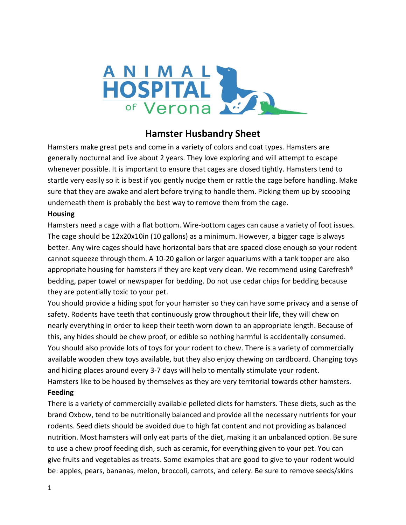

# **Hamster Husbandry Sheet**

Hamsters make great pets and come in a variety of colors and coat types*.* Hamsters are generally nocturnal and live about 2 years. They love exploring and will attempt to escape whenever possible. It is important to ensure that cages are closed tightly. Hamsters tend to startle very easily so it is best if you gently nudge them or rattle the cage before handling. Make sure that they are awake and alert before trying to handle them. Picking them up by scooping underneath them is probably the best way to remove them from the cage.

## **Housing**

Hamsters need a cage with a flat bottom. Wire-bottom cages can cause a variety of foot issues. The cage should be 12x20x10in (10 gallons) as a minimum. However, a bigger cage is always better. Any wire cages should have horizontal bars that are spaced close enough so your rodent cannot squeeze through them. A 10-20 gallon or larger aquariums with a tank topper are also appropriate housing for hamsters if they are kept very clean. We recommend using Carefresh<sup>®</sup> bedding, paper towel or newspaper for bedding. Do not use cedar chips for bedding because they are potentially toxic to your pet.

You should provide a hiding spot for your hamster so they can have some privacy and a sense of safety. Rodents have teeth that continuously grow throughout their life, they will chew on nearly everything in order to keep their teeth worn down to an appropriate length. Because of this, any hides should be chew proof, or edible so nothing harmful is accidentally consumed. You should also provide lots of toys for your rodent to chew. There is a variety of commercially available wooden chew toys available, but they also enjoy chewing on cardboard. Changing toys and hiding places around every 3-7 days will help to mentally stimulate your rodent. Hamsters like to be housed by themselves as they are very territorial towards other hamsters.

#### **Feeding**

There is a variety of commercially available pelleted diets for hamsters. These diets, such as the brand Oxbow, tend to be nutritionally balanced and provide all the necessary nutrients for your rodents. Seed diets should be avoided due to high fat content and not providing as balanced nutrition. Most hamsters will only eat parts of the diet, making it an unbalanced option. Be sure to use a chew proof feeding dish, such as ceramic, for everything given to your pet. You can give fruits and vegetables as treats. Some examples that are good to give to your rodent would be: apples, pears, bananas, melon, broccoli, carrots, and celery. Be sure to remove seeds/skins